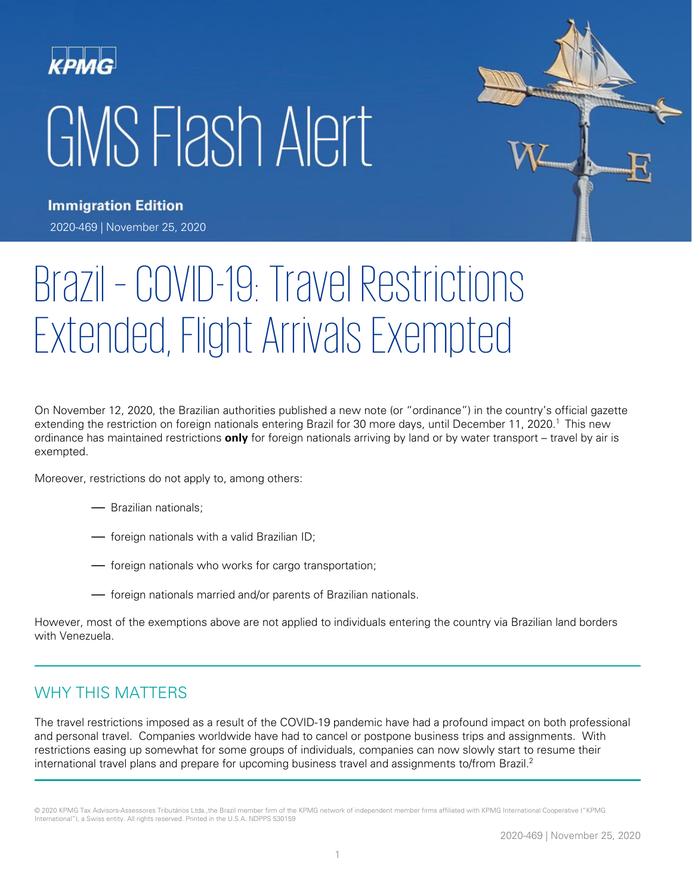# GMS Flash Alert



**Immigration Edition** 2020-469 | November 25, 2020

# Brazil – COVID-19: Travel Restrictions Extended, Flight Arrivals Exempted

On November 12, 2020, the Brazilian authorities published a new note (or "ordinance") in the country's official gazette extending the restriction on foreign nationals entering Brazil for 30 more days, until December 11, 2020.<sup>1</sup> This new ordinance has maintained restrictions **only** for foreign nationals arriving by land or by water transport – travel by air is exempted.

Moreover, restrictions do not apply to, among others:

- Brazilian nationals;
- foreign nationals with a valid Brazilian ID;
- foreign nationals who works for cargo transportation;
- foreign nationals married and/or parents of Brazilian nationals.

However, most of the exemptions above are not applied to individuals entering the country via Brazilian land borders with Venezuela.

# WHY THIS MATTERS

The travel restrictions imposed as a result of the COVID-19 pandemic have had a profound impact on both professional and personal travel. Companies worldwide have had to cancel or postpone business trips and assignments. With restrictions easing up somewhat for some groups of individuals, companies can now slowly start to resume their international travel plans and prepare for upcoming business travel and assignments to/from Brazil. 2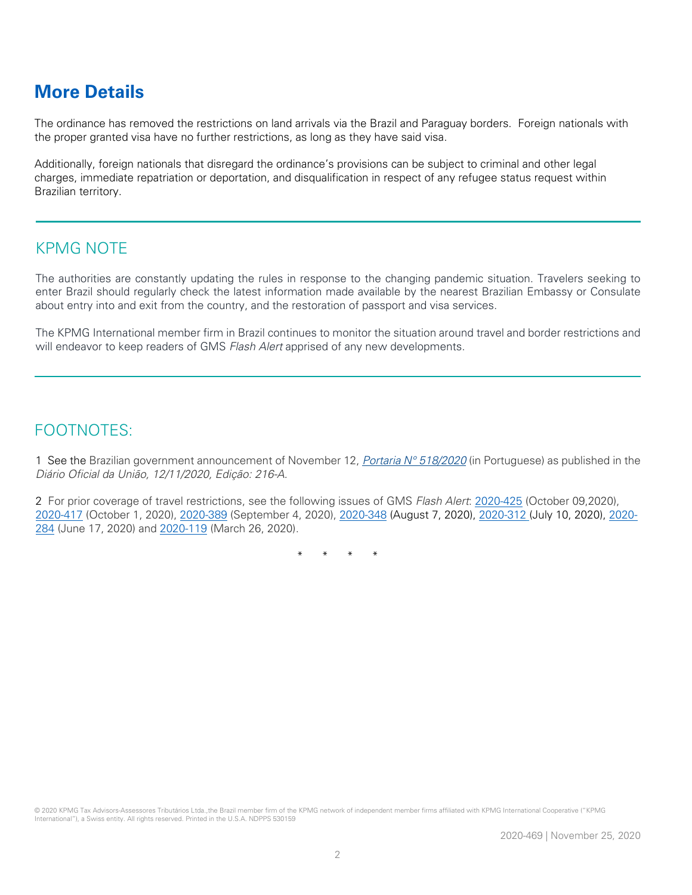# **More Details**

The ordinance has removed the restrictions on land arrivals via the Brazil and Paraguay borders. Foreign nationals with the proper granted visa have no further restrictions, as long as they have said visa.

Additionally, foreign nationals that disregard the ordinance's provisions can be subject to criminal and other legal charges, immediate repatriation or deportation, and disqualification in respect of any refugee status request within Brazilian territory.

### KPMG NOTE

The authorities are constantly updating the rules in response to the changing pandemic situation. Travelers seeking to enter Brazil should regularly check the latest information made available by the nearest Brazilian Embassy or Consulate about entry into and exit from the country, and the restoration of passport and visa services.

The KPMG International member firm in Brazil continues to monitor the situation around travel and border restrictions and will endeavor to keep readers of GMS Flash Alert apprised of any new developments.

## FOOTNOTES:

1 See the [Brazilian government announcement](http://www.in.gov.br/en/web/dou/-/portaria-n-255-de-22-de-maio-de-2020-258114133?inheritRedirect=true&redirect=%2Fweb%2Fguest%2Fsearch%3FqSearch%3DEntrada%2520de%2520estrangeiros) of November 12, Portaria N° [518/2020](https://www.in.gov.br/en/web/dou/-/portaria-n-518-de-12-de-novembro-de-2020-288022437) (in Portuguese) as published in the Diário Oficial da União, 12/11/2020, Edição: 216-A.

2 For prior coverage of travel restrictions, see the following issues of GMS Flash Alert: [2020-425](https://home.kpmg/xx/en/home/insights/2020/10/flash-alert-2020-425.html) (October 09,2020), [2020-417](https://home.kpmg/xx/en/home/insights/2020/10/flash-alert-2020-417.html) (October 1, 2020), [2020-389](https://home.kpmg/xx/en/home/insights/2020/09/flash-alert-2020-389.html) (September 4, 2020), [2020-348](https://home.kpmg/xx/en/home/insights/2020/08/flash-alert-2020-348.html) (August 7, 2020), [2020-312](https://home.kpmg/xx/en/home/insights/2020/07/flash-alert-2020-312.html) (July 10, 2020), [2020-](https://home.kpmg/xx/en/home/insights/2020/06/flash-alert-2020-284.html) [284](https://home.kpmg/xx/en/home/insights/2020/06/flash-alert-2020-284.html) (June 17, 2020) and [2020-119](https://home.kpmg/xx/en/home/insights/2020/03/flash-alert-2020-119.html) (March 26, 2020).

\* \* \* \*

© 2020 KPMG Tax Advisors-Assessores Tributários Ltda.,the Brazil member firm of the KPMG network of independent member firms affiliated with KPMG International Cooperative ("KPMG International"), a Swiss entity. All rights reserved. Printed in the U.S.A. NDPPS 530159